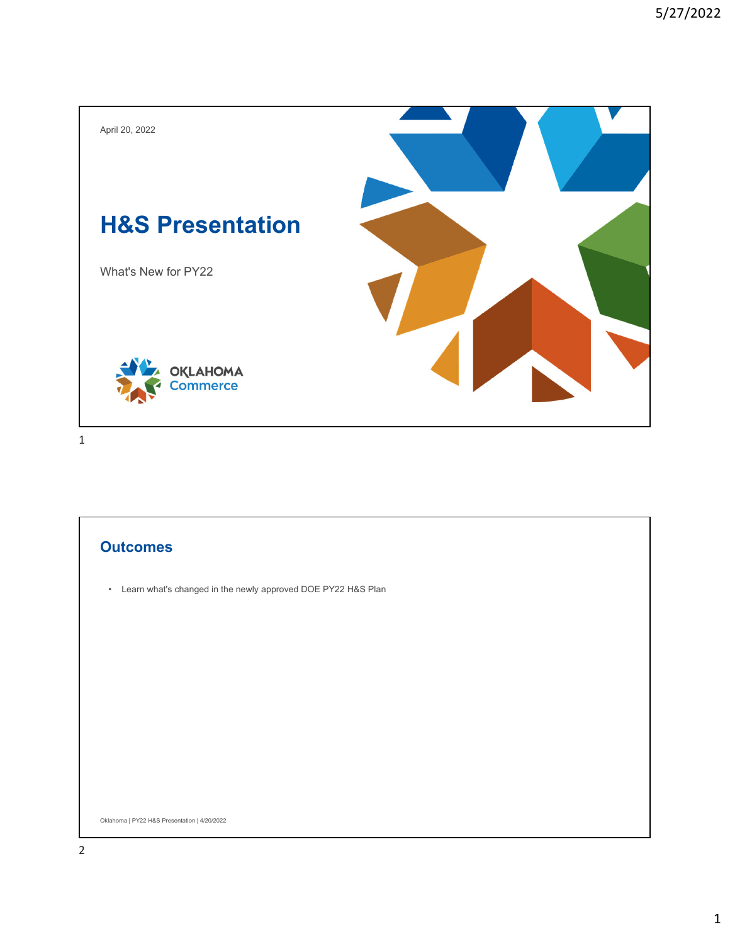

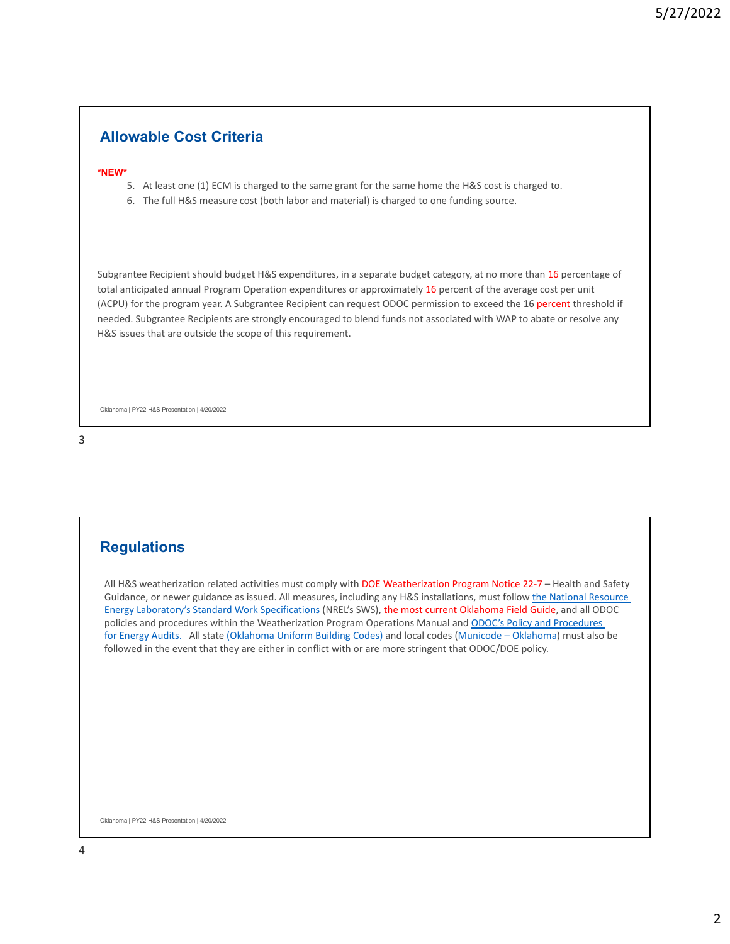### <span id="page-1-0"></span>**Allowable Cost Criteria**

#### **\*NEW\***

- 5. At least one (1) ECM is charged to the same grant for the same home the H&S cost is charged to.
- 6. The full H&S measure cost (both labor and material) is charged to one funding source.

Subgrantee Recipient should budget H&S expenditures, in a separate budget category, at no more than 16 percentage of total anticipated annual Program Operation expenditures or approximately 16 percent of the average cost per unit (ACPU) for the program year. A Subgrantee Recipient can request ODOC permission to exceed the 16 percent threshold if needed. Subgrantee Recipients are strongly encouraged to blend funds not associated with WAP to abate or resolve any H&S issues that are outside the scope of this requirement.

Oklahoma | PY22 H&S Presentation | 4/20/2022

3

#### **Regulations**

All H&S weatherization related activities must comply with DOE Weatherization Program Notice 22-7 – Health and Safety Guidance, or newer guidance as issued. All measures, including any H&S installations, must follow the National Resource Energy Laboratory's Standard Work Specifications (NREL's SWS), the most current Oklahoma Field Guide, and all ODOC policies and procedures within the Weatherization Program Operations Manual and ODOC's Policy and Procedures for Energy Audits. All state (Oklahoma Uniform Building Codes) and local codes (Municode – Oklahoma) must also be followed in the event that they are either in conflict with or are more stringent that ODOC/DOE policy.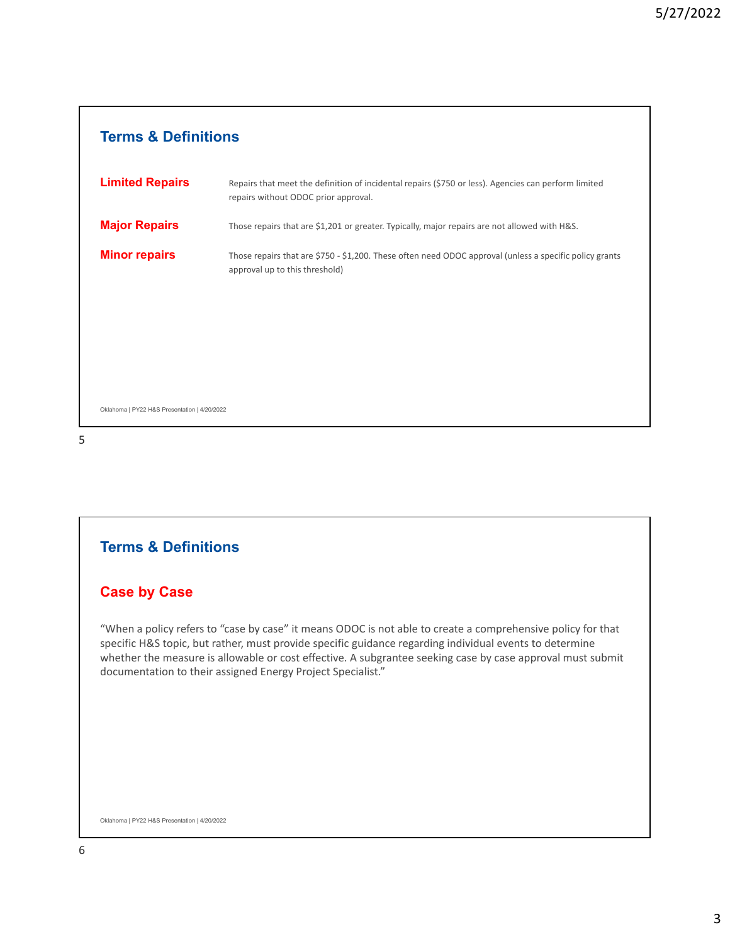| <b>Terms &amp; Definitions</b>               |                                                                                                                                              |
|----------------------------------------------|----------------------------------------------------------------------------------------------------------------------------------------------|
| <b>Limited Repairs</b>                       | Repairs that meet the definition of incidental repairs (\$750 or less). Agencies can perform limited<br>repairs without ODOC prior approval. |
| <b>Major Repairs</b>                         | Those repairs that are \$1,201 or greater. Typically, major repairs are not allowed with H&S.                                                |
| <b>Minor repairs</b>                         | Those repairs that are \$750 - \$1,200. These often need ODOC approval (unless a specific policy grants<br>approval up to this threshold)    |
|                                              |                                                                                                                                              |
|                                              |                                                                                                                                              |
|                                              |                                                                                                                                              |
| Oklahoma   PY22 H&S Presentation   4/20/2022 |                                                                                                                                              |

5

### **Terms & Definitions**

### **Case by Case**

 "When a policy refers to "case by case" it means ODOC is not able to create a comprehensive policy for that specific H&S topic, but rather, must provide specific guidance regarding individual events to determine whether the measure is allowable or cost effective. A subgrantee seeking case by case approval must submit documentation to their assigned Energy Project Specialist."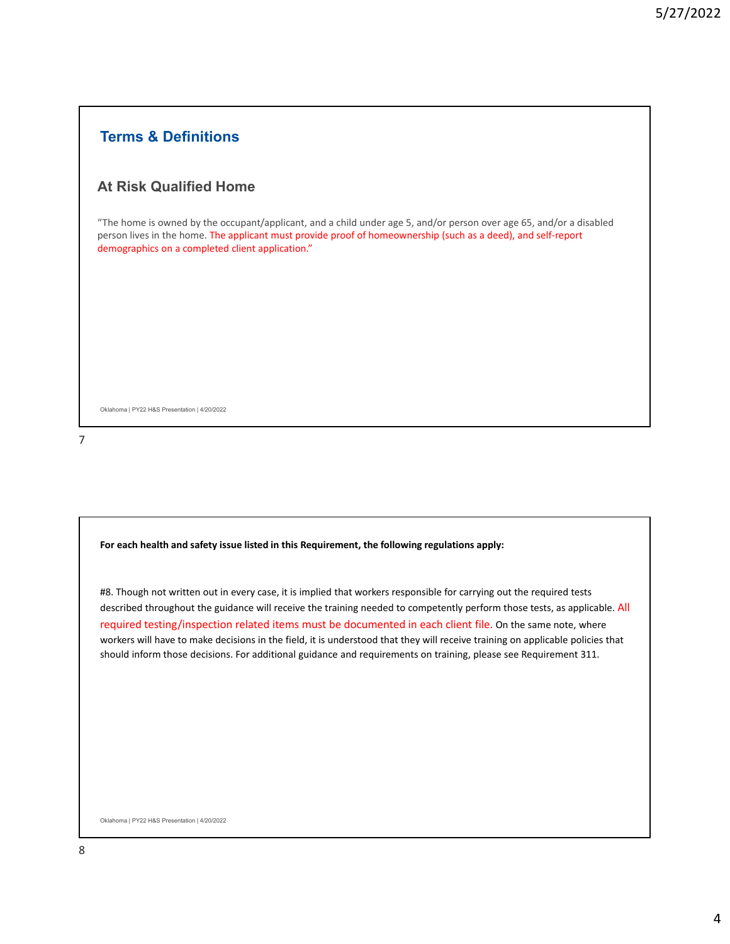### **Terms & Definitions**

#### **At Risk Qualified Home**

 "The home is owned by the occupant/applicant, and a child under age 5, and/or person over age 65, and/or a disabled person lives in the home. The applicant must provide proof of homeownership (such as a deed), and self‐report demographics on a completed client application."

Oklahoma | PY22 H&S Presentation | 4/20/2022

#### 7

#### For each health and safety issue listed in this Requirement, the following regulations apply:

 #8. Though not written out in every case, it is implied that workers responsible for carrying out the required tests described throughout the guidance will receive the training needed to competently perform those tests, as applicable. All required testing/inspection related items must be documented in each client file. On the same note, where workers will have to make decisions in the field, it is understood that they will receive training on applicable policies that should inform those decisions. For additional guidance and requirements on training, please see Requirement 311.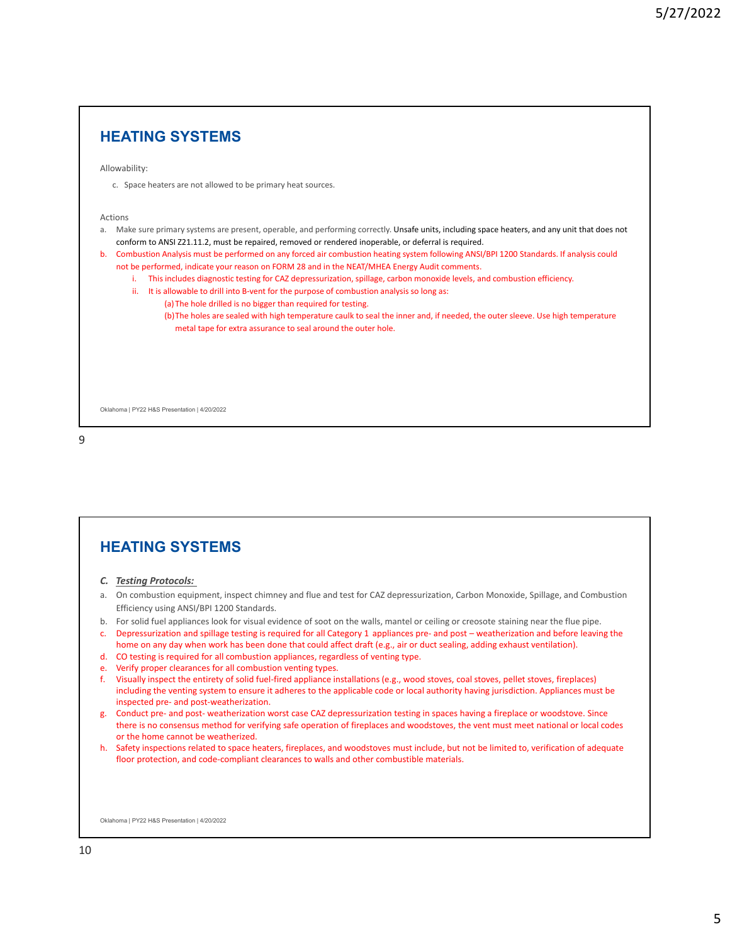#### **HEATING SYSTEMS**

Allowability:

c. Space heaters are not allowed to be primary heat sources.

Actions

a. Make sure primary systems are present, operable, and performing correctly. Unsafe units, including space heaters, and any unit that does not conform to ANSI Z21.11.2, must be repaired, removed or rendered inoperable, or deferral is required.

 b. Combustion Analysis must be performed on any forced air combustion heating system following ANSI/BPI 1200 Standards. If analysis could not be performed, indicate your reason on FORM 28 and in the NEAT/MHEA Energy Audit comments.

- i. This includes diagnostic testing for CAZ depressurization, spillage, carbon monoxide levels, and combustion efficiency.
- ii. It is allowable to drill into B-vent for the purpose of combustion analysis so long as: (a)The hole drilled is no bigger than required for testing.
	- (b)The holes are sealed with high temperature caulk to seal the inner and, if needed, the outer sleeve. Use high temperature metal tape for extra assurance to seal around the outer hole.

Oklahoma | PY22 H&S Presentation | 4/20/2022

9

### **HEATING SYSTEMS**

- *C. Testing Protocols:*
- a. On combustion equipment, inspect chimney and flue and test for CAZ depressurization, Carbon Monoxide, Spillage, and Combustion Efficiency using ANSI/BPI 1200 Standards.
- b. For solid fuel appliances look for visual evidence of soot on the walls, mantel or ceiling or creosote staining near the flue pipe.
- c. Depressurization and spillage testing is required for all Category 1 appliances pre‐ and post weatherization and before leaving the home on any day when work has been done that could affect draft (e.g., air or duct sealing, adding exhaust ventilation).
- d. CO testing is required for all combustion appliances, regardless of venting type.
- e. Verify proper clearances for all combustion venting types.
- f. Visually inspect the entirety of solid fuel‐fired appliance installations (e.g., wood stoves, coal stoves, pellet stoves, fireplaces) including the venting system to ensure it adheres to the applicable code or local authority having jurisdiction. Appliances must be inspected pre‐ and post‐weatherization.
- g. Conduct pre‐ and post‐ weatherization worst case CAZ depressurization testing in spaces having a fireplace or woodstove. Since there is no consensus method for verifying safe operation of fireplaces and woodstoves, the vent must meet national or local codes or the home cannot be weatherized.
- h. Safety inspections related to space heaters, fireplaces, and woodstoves must include, but not be limited to, verification of adequate floor protection, and code‐compliant clearances to walls and other combustible materials.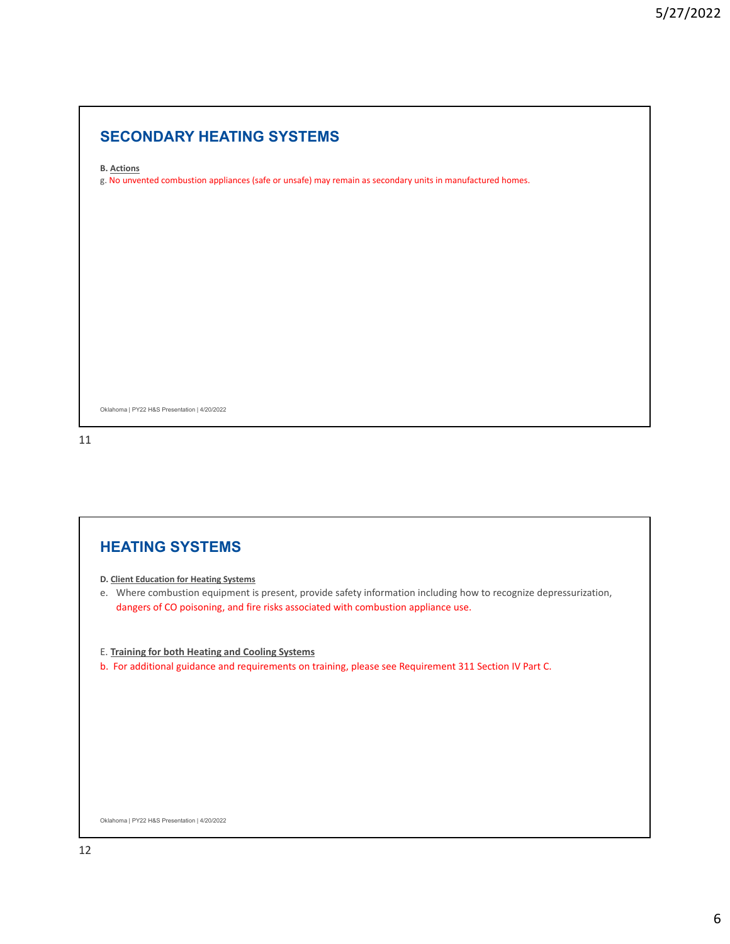### **SECONDARY HEATING SYSTEMS**

 **B. Actions**

g. No unvented combustion appliances (safe or unsafe) may remain as secondary units in manufactured homes.

Oklahoma | PY22 H&S Presentation | 4/20/2022

11

### **HEATING SYSTEMS**

 **D. Client Education for Heating Systems**

 e. Where combustion equipment is present, provide safety information including how to recognize depressurization, dangers of CO poisoning, and fire risks associated with combustion appliance use.

 E. **Training for both Heating and Cooling Systems**

b. For additional guidance and requirements on training, please see Requirement 311 Section IV Part C.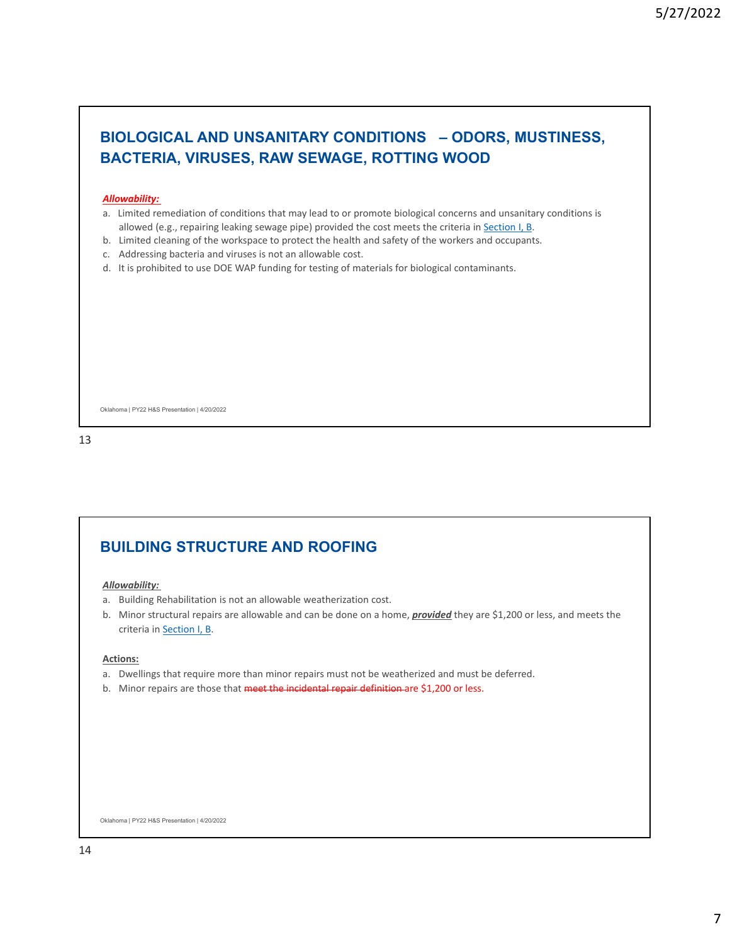### **BIOLOGICAL AND UNSANITARY CONDITIONS – ODORS, MUSTINESS, BACTERIA, VIRUSES, RAW SEWAGE, ROTTING WOOD**

#### *Allowability:*

- a. Limited remediation of conditions that may lead to or promote biological concerns and unsanitary conditions is allowed (e.g., repairing leaking sewage pipe) provided the cost meets the criteria in Section I, B.
- b. Limited cleaning of the workspace to protect the health and safety of the workers and occupants.
- c. Addressing bacteria and viruses is not an allowable cost.
- d. It is prohibited to use DOE WAP funding for testing of materials for biological contaminants.

Oklahoma | PY22 H&S Presentation | 4/20/2022

13

### **BUILDING STRUCTURE AND ROOFING**

#### *Allowability:*

- a. Building Rehabilitation is not an allowable weatherization cost.
- b. Minor structural repairs are allowable and can be done on a home, *provided* they are \$1,200 or less, and meets the criteria in Section I, B.

#### **Actions:**

- a. Dwellings that require more than minor repairs must not be weatherized and must be deferred.
- b. Minor repairs are those that meet the incidental repair definition are \$1,200 or less.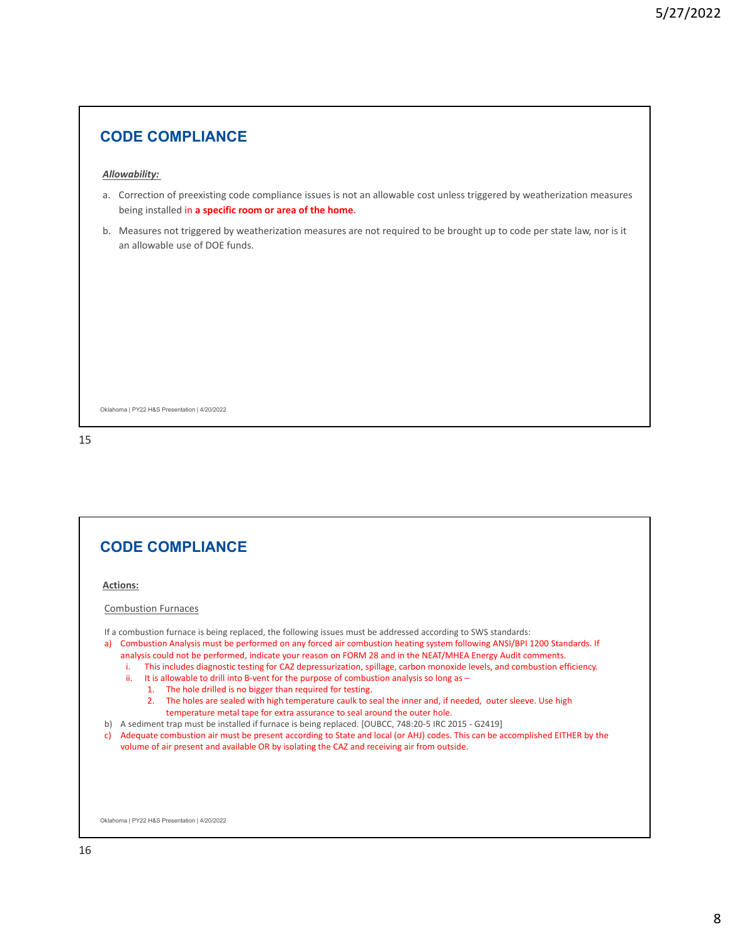### **CODE COMPLIANCE**

#### *Allowability:*

- a. Correction of preexisting code compliance issues is not an allowable cost unless triggered by weatherization measures  being installed in **a specific room or area of the home**.
- b. Measures not triggered by weatherization measures are not required to be brought up to code per state law, nor is it an allowable use of DOE funds.

Oklahoma | PY22 H&S Presentation | 4/20/2022

#### 15

### **CODE COMPLIANCE**

**Actions:**

Combustion Furnaces

- If a combustion furnace is being replaced, the following issues must be addressed according to SWS standards:
- a) Combustion Analysis must be performed on any forced air combustion heating system following ANSI/BPI 1200 Standards. If analysis could not be performed, indicate your reason on FORM 28 and in the NEAT/MHEA Energy Audit comments.
	- i. This includes diagnostic testing for CAZ depressurization, spillage, carbon monoxide levels, and combustion efficiency.
	- ii. It is allowable to drill into B-vent for the purpose of combustion analysis so long as
		- 1. The hole drilled is no bigger than required for testing.
		- 2. The holes are sealed with high temperature caulk to seal the inner and, if needed, outer sleeve. Use high temperature metal tape for extra assurance to seal around the outer hole.
- b) A sediment trap must be installed if furnace is being replaced. [OUBCC, 748:20‐5 IRC 2015 ‐ G2419]
- c) Adequate combustion air must be present according to State and local (or AHJ) codes. This can be accomplished EITHER by the volume of air present and available OR by isolating the CAZ and receiving air from outside.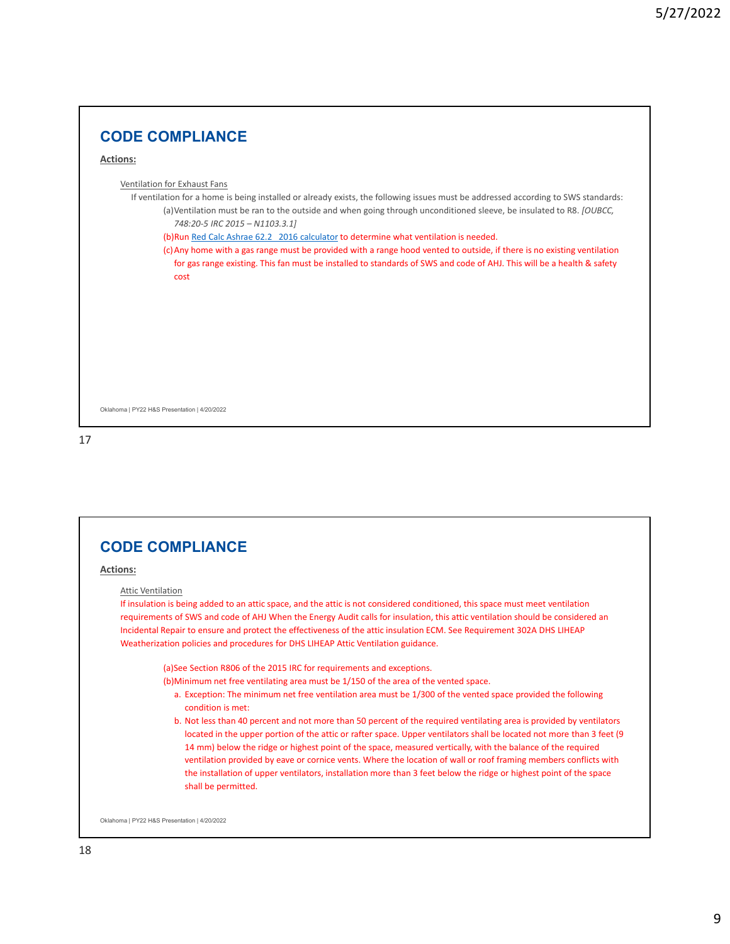## Ventilation for Exhaust Fans If ventilation for a home is being installed or already exists, the following issues must be addressed according to SWS standards: (a)Ventilation must be ran to the outside and when going through unconditioned sleeve, be insulated to R8. *[OUBCC, 748:20‐5 IRC 2015 – N1103.3.1]* (b)Run Red Calc Ashrae 62.2 2016 calculator to determine what ventilation is needed. (c)Any home with a gas range must be provided with a range hood vented to outside, if there is no existing ventilation for gas range existing. This fan must be installed to standards of SWS and code of AHJ. This will be a health & safety **CODE COMPLIANCE Actions:** cost Oklahoma | PY22 H&S Presentation | 4/20/2022

17

### **CODE COMPLIANCE**

#### **Actions:**

#### Attic Ventilation

 If insulation is being added to an attic space, and the attic is not considered conditioned, this space must meet ventilation requirements of SWS and code of AHJ When the Energy Audit calls for insulation, this attic ventilation should be considered an Incidental Repair to ensure and protect the effectiveness of the attic insulation ECM. See Requirement 302A DHS LIHEAP Weatherization policies and procedures for DHS LIHEAP Attic Ventilation guidance.

(a)See Section R806 of the 2015 IRC for requirements and exceptions.

- (b)Minimum net free ventilating area must be 1/150 of the area of the vented space.
	- a. Exception: The minimum net free ventilation area must be 1/300 of the vented space provided the following condition is met:
	- b. Not less than 40 percent and not more than 50 percent of the required ventilating area is provided by ventilators located in the upper portion of the attic or rafter space. Upper ventilators shall be located not more than 3 feet (9 14 mm) below the ridge or highest point of the space, measured vertically, with the balance of the required ventilation provided by eave or cornice vents. Where the location of wall or roof framing members conflicts with the installation of upper ventilators, installation more than 3 feet below the ridge or highest point of the space shall be permitted.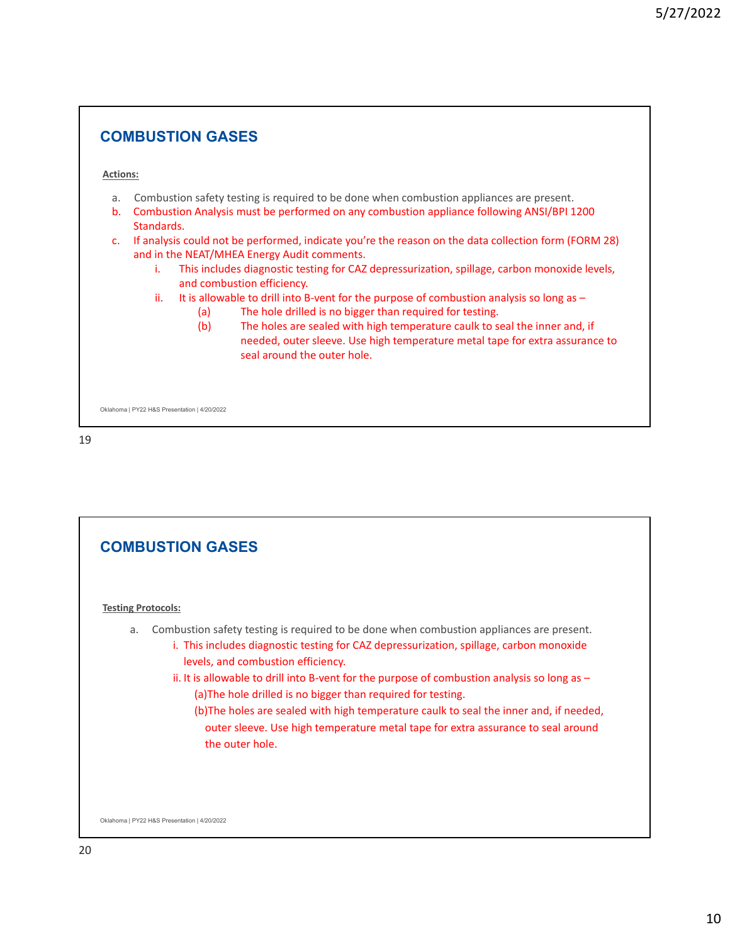# **COMBUSTION GASES Actions:**

- a. Combustion safety testing is required to be done when combustion appliances are present.
- b. Combustion Analysis must be performed on any combustion appliance following ANSI/BPI 1200 Standards.
- c. If analysis could not be performed, indicate you're the reason on the data collection form (FORM 28) and in the NEAT/MHEA Energy Audit comments.
	- i. This includes diagnostic testing for CAZ depressurization, spillage, carbon monoxide levels, and combustion efficiency.
	- ii. It is allowable to drill into B-vent for the purpose of combustion analysis so long as
		- (a) The hole drilled is no bigger than required for testing.
			- (b) The holes are sealed with high temperature caulk to seal the inner and, if needed, outer sleeve. Use high temperature metal tape for extra assurance to seal around the outer hole.

Oklahoma | PY22 H&S Presentation | 4/20/2022

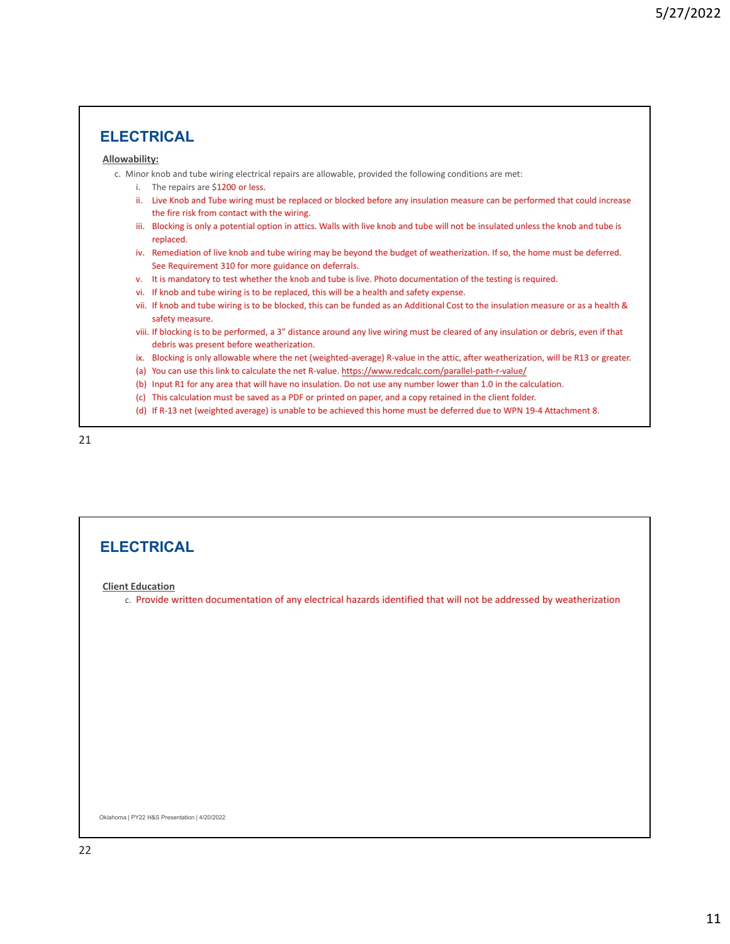#### c. Minor knob and tube wiring electrical repairs are allowable, provided the following conditions are met: i. The repairs are \$1200 or less. ii. Live Knob and Tube wiring must be replaced or blocked before any insulation measure can be performed that could increase the fire risk from contact with the wiring. iii. Blocking is only a potential option in attics. Walls with live knob and tube will not be insulated unless the knob and tube is iv. Remediation of live knob and tube wiring may be beyond the budget of weatherization. If so, the home must be deferred. See Requirement 310 for more guidance on deferrals. v. It is mandatory to test whether the knob and tube is live. Photo documentation of the testing is required. vi. If knob and tube wiring is to be replaced, this will be a health and safety expense. vii. If knob and tube wiring is to be blocked, this can be funded as an Additional Cost to the insulation measure or as a health & viii. If blocking is to be performed, a 3" distance around any live wiring must be cleared of any insulation or debris, even if that debris was present before weatherization. ix. Blocking is only allowable where the net (weighted‐average) R‐value in the attic, after weatherization, will be R13 or greater. (a) You can use this link to calculate the net R-value. [https://www.redcalc.com/parallel](https://www.redcalc.com/parallel-path-r-value)-path-r-value/ (b) Input R1 for any area that will have no insulation. Do not use any number lower than 1.0 in the calculation. (c) This calculation must be saved as a PDF or printed on paper, and a copy retained in the client folder. (d) If R‐13 net (weighted average) is unable to be achieved this home must be deferred due to WPN 19‐4 Attachment 8. **ELECTRICAL Allowability:** replaced. safety measure.

21

### **ELECTRICAL**

**Client Education**

c. Provide written documentation of any electrical hazards identified that will not be addressed by weatherization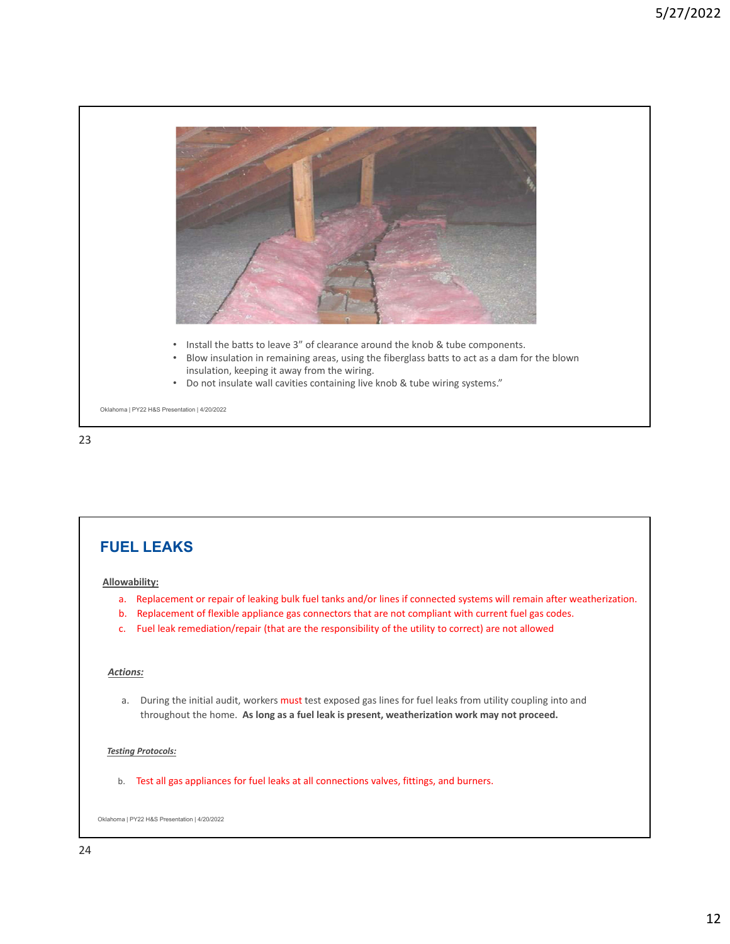



### **FUEL LEAKS**

#### **Allowability:**

- a. Replacement or repair of leaking bulk fuel tanks and/or lines if connected systems will remain after weatherization.
- b. Replacement of flexible appliance gas connectors that are not compliant with current fuel gas codes.
- c. Fuel leak remediation/repair (that are the responsibility of the utility to correct) are not allowed

#### *Actions:*

a. During the initial audit, workers must test exposed gas lines for fuel leaks from utility coupling into and  throughout the home. **As long as a fuel leak is present, weatherization work may not proceed.**

#### *Testing Protocols:*

b. Test all gas appliances for fuel leaks at all connections valves, fittings, and burners.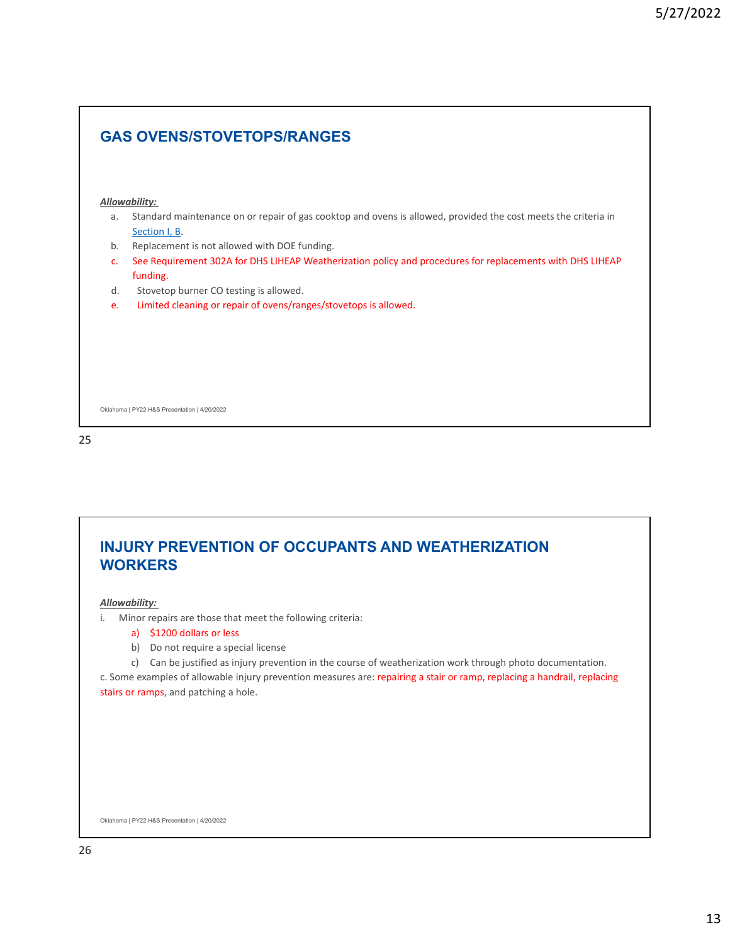### **GAS OVENS/STOVETOPS/RANGES**

*Allowability:*

- a. Standard maintenance on or repair of gas cooktop and ovens is allowed, provided the cost meets the criteria in Section I, B.
- b. Replacement is not allowed with DOE funding.
- c. See Requirement 302A for DHS LIHEAP Weatherization policy and procedures for replacements with DHS LIHEAP funding.
- d. Stovetop burner CO testing is allowed.
- e. Limited cleaning or repair of ovens/ranges/stovetops is allowed.

Oklahoma | PY22 H&S Presentation | 4/20/2022

25

### **INJURY PREVENTION OF OCCUPANTS AND WEATHERIZATION WORKERS**

#### *Allowability:*

- i. Minor repairs are those that meet the following criteria:
	- a) \$1200 dollars or less
	- b) Do not require a special license
	- c) Can be justified as injury prevention in the course of weatherization work through photo documentation.

c. Some examples of allowable injury prevention measures are: repairing a stair or ramp, replacing a handrail, replacing stairs or ramps, and patching a hole.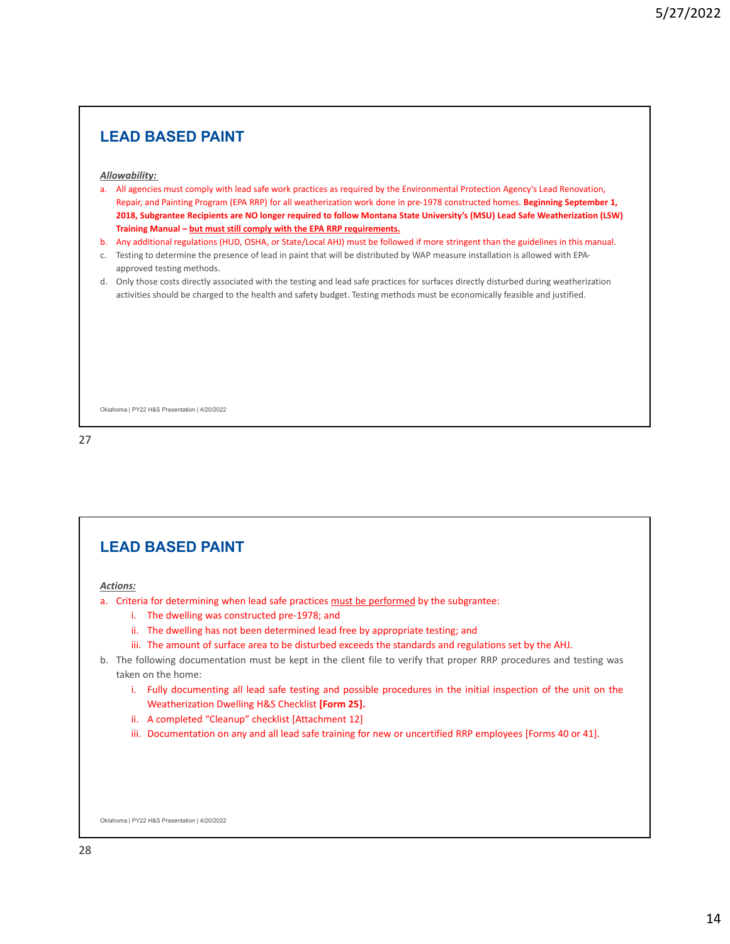### **LEAD BASED PAINT**

#### *Allowability:*

- a. All agencies must comply with lead safe work practices as required by the Environmental Protection Agency's Lead Renovation,  Repair, and Painting Program (EPA RRP) for all weatherization work done in pre‐1978 constructed homes. **Beginning September 1,** 2018, Subgrantee Recipients are NO longer required to follow Montana State University's (MSU) Lead Safe Weatherization (LSW)  **Training Manual – but must still comply with the EPA RRP requirements.**
- b. Any additional regulations (HUD, OSHA, or State/Local AHJ) must be followed if more stringent than the guidelines in this manual.
- c. Testing to determine the presence of lead in paint that will be distributed by WAP measure installation is allowed with EPA‐ approved testing methods.
- d. Only those costs directly associated with the testing and lead safe practices for surfaces directly disturbed during weatherization activities should be charged to the health and safety budget. Testing methods must be economically feasible and justified.

Oklahoma | PY22 H&S Presentation | 4/20/2022

27

### **LEAD BASED PAINT**

#### *Actions:*

- a. Criteria for determining when lead safe practices must be performed by the subgrantee:
	- i. The dwelling was constructed pre‐1978; and
	- ii. The dwelling has not been determined lead free by appropriate testing; and
	- iii. The amount of surface area to be disturbed exceeds the standards and regulations set by the AHJ.
- b. The following documentation must be kept in the client file to verify that proper RRP procedures and testing was taken on the home:
	- i. Fully documenting all lead safe testing and possible procedures in the initial inspection of the unit on the Weatherization Dwelling H&S Checklist **[Form 25].**
	- ii. A completed "Cleanup" checklist [Attachment 12]
	- iii. Documentation on any and all lead safe training for new or uncertified RRP employees [Forms 40 or 41].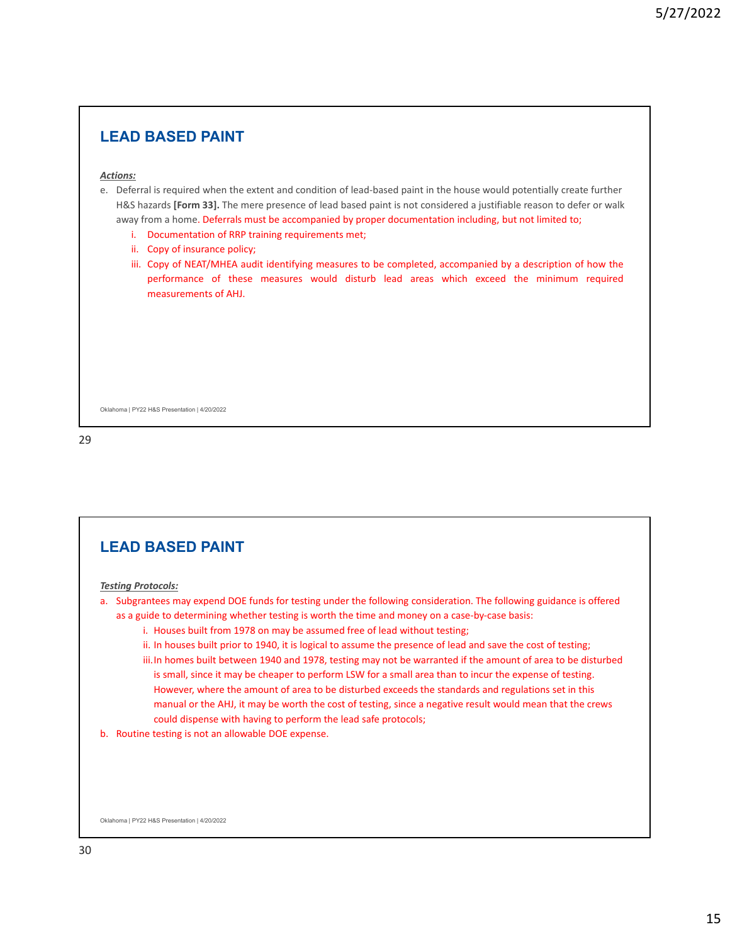#### **LEAD BASED PAINT**

#### *Actions:*

- e. Deferral is required when the extent and condition of lead‐based paint in the house would potentially create further  H&S hazards **[Form 33].** The mere presence of lead based paint is not considered a justifiable reason to defer or walk away from a home. Deferrals must be accompanied by proper documentation including, but not limited to;
	- i. Documentation of RRP training requirements met;
	- ii. Copy of insurance policy;
	- iii. Copy of NEAT/MHEA audit identifying measures to be completed, accompanied by a description of how the performance of these measures would disturb lead areas which exceed the minimum required measurements of AHJ.

Oklahoma | PY22 H&S Presentation | 4/20/2022

29

#### **LEAD BASED PAINT**

 *Testing Protocols:*

- a. Subgrantees may expend DOE funds for testing under the following consideration. The following guidance is offered as a guide to determining whether testing is worth the time and money on a case‐by‐case basis:
	- i. Houses built from 1978 on may be assumed free of lead without testing;
	- ii. In houses built prior to 1940, it is logical to assume the presence of lead and save the cost of testing;
	- iii.In homes built between 1940 and 1978, testing may not be warranted if the amount of area to be disturbed is small, since it may be cheaper to perform LSW for a small area than to incur the expense of testing. However, where the amount of area to be disturbed exceeds the standards and regulations set in this manual or the AHJ, it may be worth the cost of testing, since a negative result would mean that the crews could dispense with having to perform the lead safe protocols;
- b. Routine testing is not an allowable DOE expense.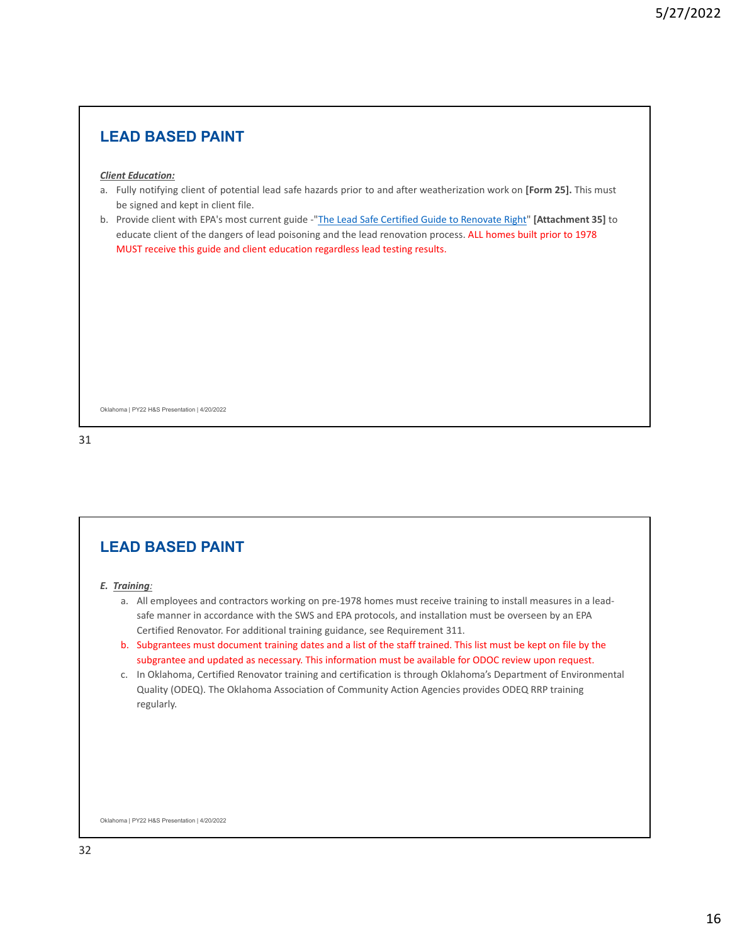### **LEAD BASED PAINT**

#### *Client Education:*

- a. Fully notifying client of potential lead safe hazards prior to and after weatherization work on **[Form 25].** This must be signed and kept in client file.
- b. Provide client with EPA's most current guide ‐"The Lead Safe Certified Guide to Renovate Right" **[Attachment 35]** to educate client of the dangers of lead poisoning and the lead renovation process. ALL homes built prior to 1978 MUST receive this guide and client education regardless lead testing results.

Oklahoma | PY22 H&S Presentation | 4/20/2022

31

### **LEAD BASED PAINT**

- *E. Training:*
	- a. All employees and contractors working on pre‐1978 homes must receive training to install measures in a lead‐ safe manner in accordance with the SWS and EPA protocols, and installation must be overseen by an EPA Certified Renovator. For additional training guidance, see Requirement 311.
	- b. Subgrantees must document training dates and a list of the staff trained. This list must be kept on file by the subgrantee and updated as necessary. This information must be available for ODOC review upon request.
	- c. In Oklahoma, Certified Renovator training and certification is through Oklahoma's Department of Environmental Quality (ODEQ). The Oklahoma Association of Community Action Agencies provides ODEQ RRP training regularly.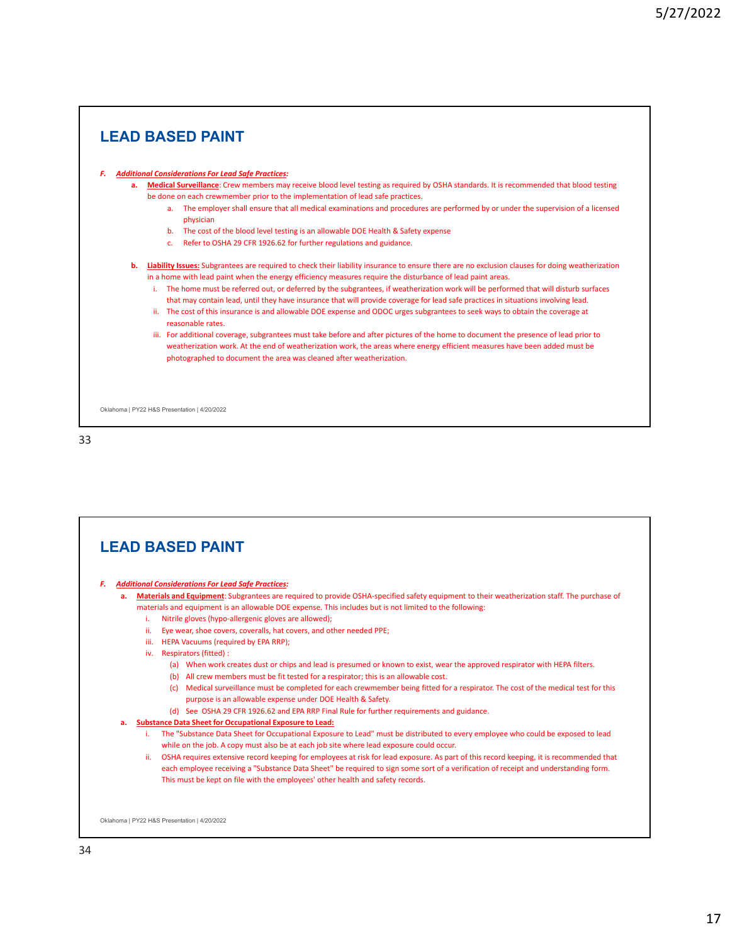|    | <b>Additional Considerations For Lead Safe Practices:</b>                                                                                                                                                                                                                                                                               |
|----|-----------------------------------------------------------------------------------------------------------------------------------------------------------------------------------------------------------------------------------------------------------------------------------------------------------------------------------------|
| a. | Medical Surveillance: Crew members may receive blood level testing as required by OSHA standards. It is recommended that blood testing                                                                                                                                                                                                  |
|    | be done on each crewmember prior to the implementation of lead safe practices.                                                                                                                                                                                                                                                          |
|    | The employer shall ensure that all medical examinations and procedures are performed by or under the supervision of a licensed<br>a.<br>physician                                                                                                                                                                                       |
|    | The cost of the blood level testing is an allowable DOE Health & Safety expense<br>$h_{-}$                                                                                                                                                                                                                                              |
|    | Refer to OSHA 29 CFR 1926.62 for further regulations and guidance.<br>$\mathsf{C}$ .                                                                                                                                                                                                                                                    |
| b. | Liability Issues: Subgrantees are required to check their liability insurance to ensure there are no exclusion clauses for doing weatherization<br>in a home with lead paint when the energy efficiency measures require the disturbance of lead paint areas.                                                                           |
|    | The home must be referred out, or deferred by the subgrantees, if weatherization work will be performed that will disturb surfaces<br>j.                                                                                                                                                                                                |
|    | that may contain lead, until they have insurance that will provide coverage for lead safe practices in situations involving lead.                                                                                                                                                                                                       |
|    | The cost of this insurance is and allowable DOE expense and ODOC urges subgrantees to seek ways to obtain the coverage at<br>ii.                                                                                                                                                                                                        |
|    | reasonable rates.                                                                                                                                                                                                                                                                                                                       |
|    | iii. For additional coverage, subgrantees must take before and after pictures of the home to document the presence of lead prior to<br>weatherization work. At the end of weatherization work, the areas where energy efficient measures have been added must be<br>photographed to document the area was cleaned after weatherization. |

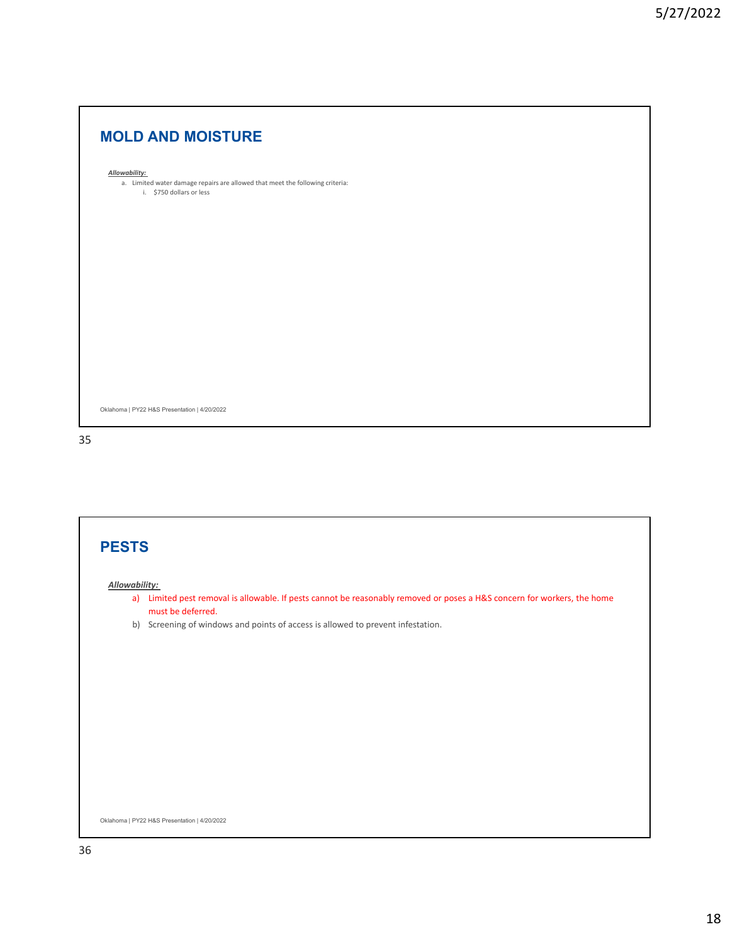### **MOLD AND MOISTURE**

*Allowability:*

 a. Limited water damage repairs are allowed that meet the following criteria: i. \$750 dollars or less

Oklahoma | PY22 H&S Presentation | 4/20/2022

35

### **PESTS**

#### *Allowability:*

- a) Limited pest removal is allowable. If pests cannot be reasonably removed or poses a H&S concern for workers, the home must be deferred.
- b) Screening of windows and points of access is allowed to prevent infestation.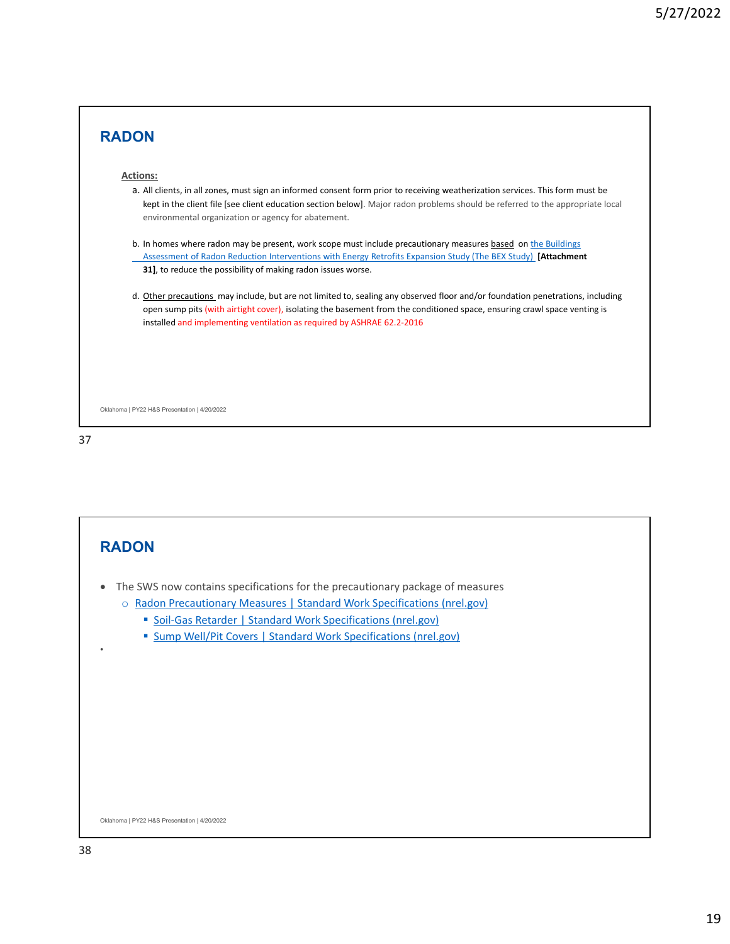| <b>RADON</b>                                                                                                                                                                                                                                                                                                                               |
|--------------------------------------------------------------------------------------------------------------------------------------------------------------------------------------------------------------------------------------------------------------------------------------------------------------------------------------------|
| <b>Actions:</b><br>a. All clients, in all zones, must sign an informed consent form prior to receiving weatherization services. This form must be<br>kept in the client file (see client education section below). Major radon problems should be referred to the appropriate local<br>environmental organization or agency for abatement. |
| b. In homes where radon may be present, work scope must include precautionary measures based on the Buildings<br>Assessment of Radon Reduction Interventions with Energy Retrofits Expansion Study (The BEX Study) [Attachment<br>31], to reduce the possibility of making radon issues worse.                                             |
| d. Other precautions may include, but are not limited to, sealing any observed floor and/or foundation penetrations, including<br>open sump pits (with airtight cover), isolating the basement from the conditioned space, ensuring crawl space venting is<br>installed and implementing ventilation as required by ASHRAE 62.2-2016       |
|                                                                                                                                                                                                                                                                                                                                            |
| Oklahoma   PY22 H&S Presentation   4/20/2022                                                                                                                                                                                                                                                                                               |

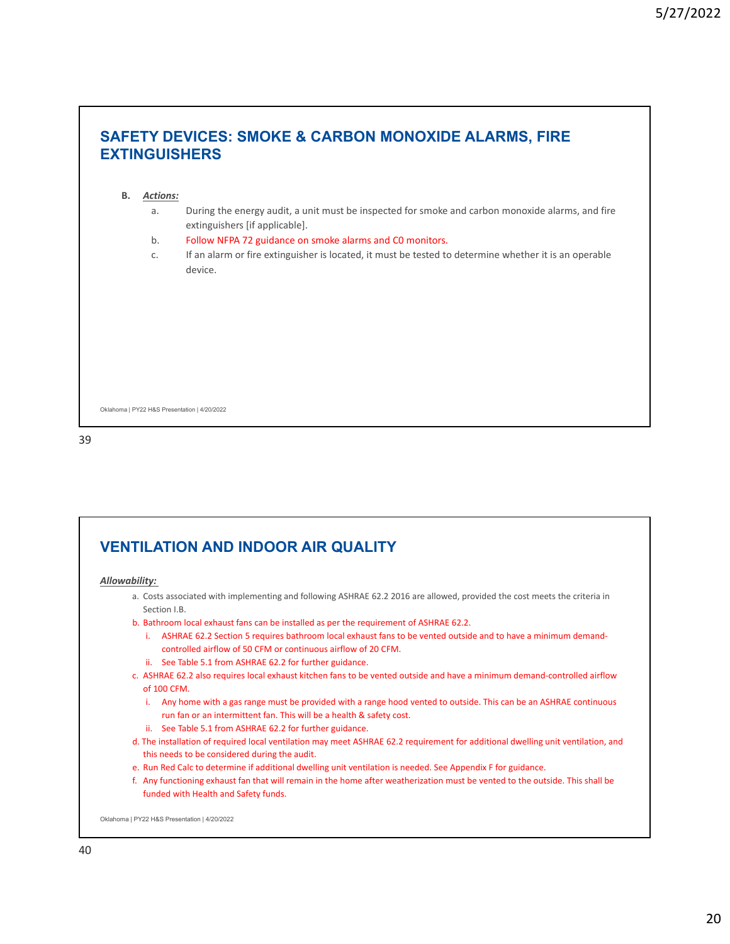### **SAFETY DEVICES: SMOKE & CARBON MONOXIDE ALARMS, FIRE EXTINGUISHERS**

#### **B.** *Actions:*

- a. During the energy audit, a unit must be inspected for smoke and carbon monoxide alarms, and fire extinguishers [if applicable].
- b. Follow NFPA 72 guidance on smoke alarms and C0 monitors.
- c. If an alarm or fire extinguisher is located, it must be tested to determine whether it is an operable device.

Oklahoma | PY22 H&S Presentation | 4/20/2022

39

### **VENTILATION AND INDOOR AIR QUALITY**

#### *Allowability:*

- a. Costs associated with implementing and following ASHRAE 62.2 2016 are allowed, provided the cost meets the criteria in Section I.B.
- b. Bathroom local exhaust fans can be installed as per the requirement of ASHRAE 62.2.
	- i. ASHRAE 62.2 Section 5 requires bathroom local exhaust fans to be vented outside and to have a minimum demand‐ controlled airflow of 50 CFM or continuous airflow of 20 CFM.
	- ii. See Table 5.1 from ASHRAE 62.2 for further guidance.
- c. ASHRAE 62.2 also requires local exhaust kitchen fans to be vented outside and have a minimum demand‐controlled airflow of 100 CFM.
	- i. Any home with a gas range must be provided with a range hood vented to outside. This can be an ASHRAE continuous run fan or an intermittent fan. This will be a health & safety cost.
	- ii. See Table 5.1 from ASHRAE 62.2 for further guidance.
- d. The installation of required local ventilation may meet ASHRAE 62.2 requirement for additional dwelling unit ventilation, and this needs to be considered during the audit.
- e. Run Red Calc to determine if additional dwelling unit ventilation is needed. See Appendix F for guidance.
- f. Any functioning exhaust fan that will remain in the home after weatherization must be vented to the outside. This shall be funded with Health and Safety funds.